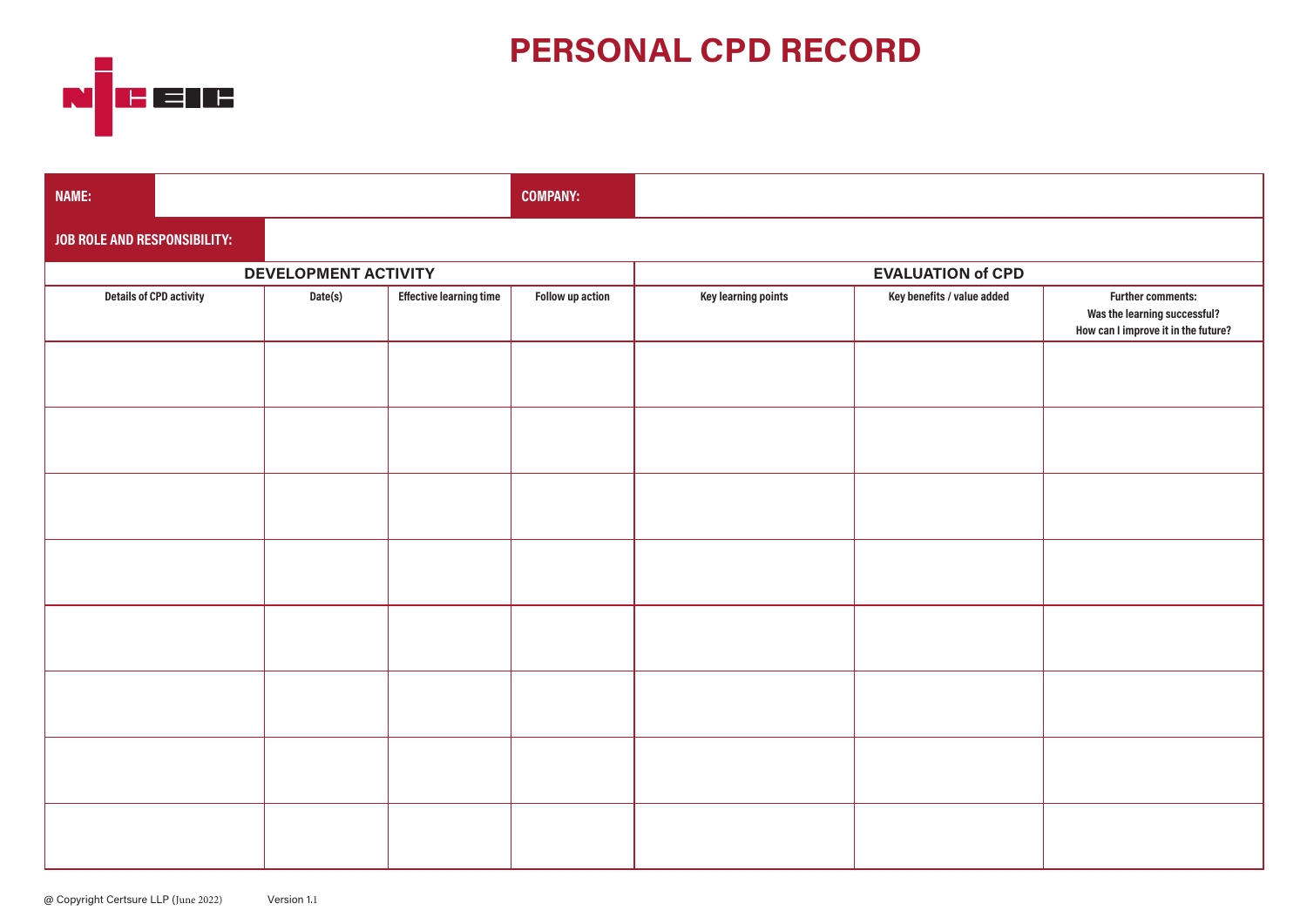# **PERSONAL CPD RECORD**



| NAME:                        |                                |         |                                | <b>COMPANY:</b>  |                          |                            |                                                                                                 |
|------------------------------|--------------------------------|---------|--------------------------------|------------------|--------------------------|----------------------------|-------------------------------------------------------------------------------------------------|
| JOB ROLE AND RESPONSIBILITY: |                                |         |                                |                  |                          |                            |                                                                                                 |
| DEVELOPMENT ACTIVITY         |                                |         |                                |                  | <b>EVALUATION of CPD</b> |                            |                                                                                                 |
|                              | <b>Details of CPD activity</b> | Date(s) | <b>Effective learning time</b> | Follow up action | Key learning points      | Key benefits / value added | <b>Further comments:</b><br>Was the learning successful?<br>How can I improve it in the future? |
|                              |                                |         |                                |                  |                          |                            |                                                                                                 |
|                              |                                |         |                                |                  |                          |                            |                                                                                                 |
|                              |                                |         |                                |                  |                          |                            |                                                                                                 |
|                              |                                |         |                                |                  |                          |                            |                                                                                                 |
|                              |                                |         |                                |                  |                          |                            |                                                                                                 |
|                              |                                |         |                                |                  |                          |                            |                                                                                                 |
|                              |                                |         |                                |                  |                          |                            |                                                                                                 |
|                              |                                |         |                                |                  |                          |                            |                                                                                                 |